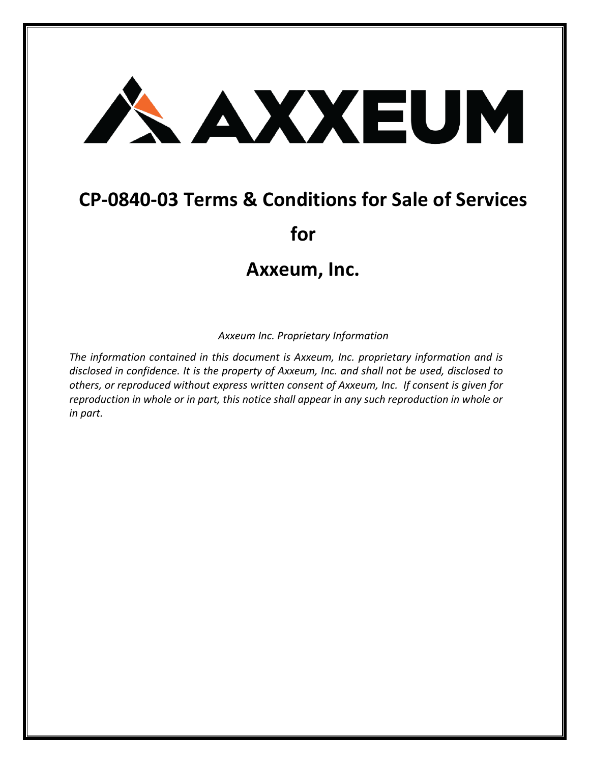## AXXEUM

## **CP-0840-03 Terms & Conditions for Sale of Services**

**for**

## **Axxeum, Inc.**

*Axxeum Inc. Proprietary Information*

*The information contained in this document is Axxeum, Inc. proprietary information and is disclosed in confidence. It is the property of Axxeum, Inc. and shall not be used, disclosed to others, or reproduced without express written consent of Axxeum, Inc. If consent is given for reproduction in whole or in part, this notice shall appear in any such reproduction in whole or in part.*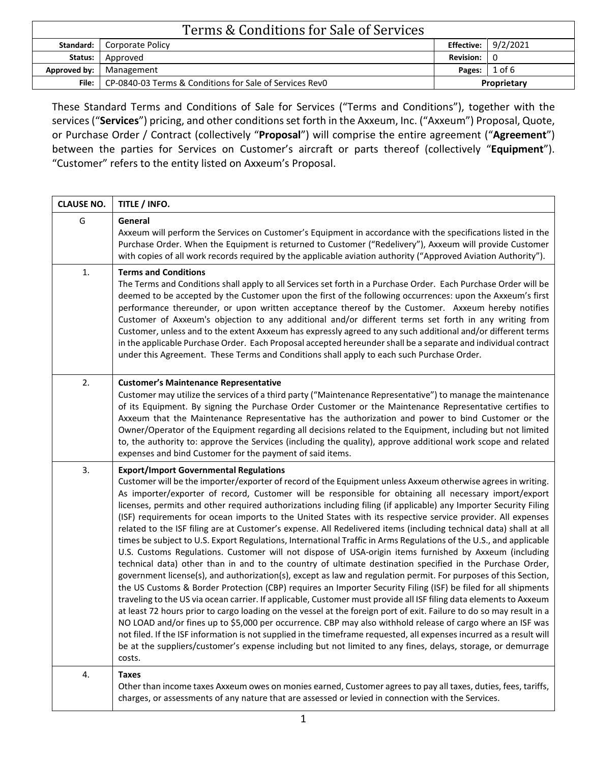| Terms & Conditions for Sale of Services |                                                                 |                  |                       |  |
|-----------------------------------------|-----------------------------------------------------------------|------------------|-----------------------|--|
|                                         | <b>Standard:</b>   Corporate Policy                             |                  | Effective: $9/2/2021$ |  |
| Status:                                 | Approved                                                        | <b>Revision:</b> |                       |  |
| Approved by:                            | Management                                                      | Pages:           | $1$ of 6              |  |
|                                         | File:   CP-0840-03 Terms & Conditions for Sale of Services RevO | Proprietary      |                       |  |

These Standard Terms and Conditions of Sale for Services ("Terms and Conditions"), together with the services ("**Services**") pricing, and other conditions set forth in the Axxeum, Inc. ("Axxeum") Proposal, Quote, or Purchase Order / Contract (collectively "**Proposal**") will comprise the entire agreement ("**Agreement**") between the parties for Services on Customer's aircraft or parts thereof (collectively "**Equipment**"). "Customer" refers to the entity listed on Axxeum's Proposal.

| <b>CLAUSE NO.</b> | TITLE / INFO.                                                                                                                                                                                                                                                                                                                                                                                                                                                                                                                                                                                                                                                                                                                                                                                                                                                                                                                                                                                                                                                                                                                                                                                                                                                                                                                                                                                                                                                                                                                                                                                                                                                                                                                                                                                                                      |
|-------------------|------------------------------------------------------------------------------------------------------------------------------------------------------------------------------------------------------------------------------------------------------------------------------------------------------------------------------------------------------------------------------------------------------------------------------------------------------------------------------------------------------------------------------------------------------------------------------------------------------------------------------------------------------------------------------------------------------------------------------------------------------------------------------------------------------------------------------------------------------------------------------------------------------------------------------------------------------------------------------------------------------------------------------------------------------------------------------------------------------------------------------------------------------------------------------------------------------------------------------------------------------------------------------------------------------------------------------------------------------------------------------------------------------------------------------------------------------------------------------------------------------------------------------------------------------------------------------------------------------------------------------------------------------------------------------------------------------------------------------------------------------------------------------------------------------------------------------------|
| G                 | General<br>Axxeum will perform the Services on Customer's Equipment in accordance with the specifications listed in the<br>Purchase Order. When the Equipment is returned to Customer ("Redelivery"), Axxeum will provide Customer<br>with copies of all work records required by the applicable aviation authority ("Approved Aviation Authority").                                                                                                                                                                                                                                                                                                                                                                                                                                                                                                                                                                                                                                                                                                                                                                                                                                                                                                                                                                                                                                                                                                                                                                                                                                                                                                                                                                                                                                                                               |
| 1.                | <b>Terms and Conditions</b><br>The Terms and Conditions shall apply to all Services set forth in a Purchase Order. Each Purchase Order will be<br>deemed to be accepted by the Customer upon the first of the following occurrences: upon the Axxeum's first<br>performance thereunder, or upon written acceptance thereof by the Customer. Axxeum hereby notifies<br>Customer of Axxeum's objection to any additional and/or different terms set forth in any writing from<br>Customer, unless and to the extent Axxeum has expressly agreed to any such additional and/or different terms<br>in the applicable Purchase Order. Each Proposal accepted hereunder shall be a separate and individual contract<br>under this Agreement. These Terms and Conditions shall apply to each such Purchase Order.                                                                                                                                                                                                                                                                                                                                                                                                                                                                                                                                                                                                                                                                                                                                                                                                                                                                                                                                                                                                                         |
| 2.                | <b>Customer's Maintenance Representative</b><br>Customer may utilize the services of a third party ("Maintenance Representative") to manage the maintenance<br>of its Equipment. By signing the Purchase Order Customer or the Maintenance Representative certifies to<br>Axxeum that the Maintenance Representative has the authorization and power to bind Customer or the<br>Owner/Operator of the Equipment regarding all decisions related to the Equipment, including but not limited<br>to, the authority to: approve the Services (including the quality), approve additional work scope and related<br>expenses and bind Customer for the payment of said items.                                                                                                                                                                                                                                                                                                                                                                                                                                                                                                                                                                                                                                                                                                                                                                                                                                                                                                                                                                                                                                                                                                                                                          |
| 3.                | <b>Export/Import Governmental Regulations</b><br>Customer will be the importer/exporter of record of the Equipment unless Axxeum otherwise agrees in writing.<br>As importer/exporter of record, Customer will be responsible for obtaining all necessary import/export<br>licenses, permits and other required authorizations including filing (if applicable) any Importer Security Filing<br>(ISF) requirements for ocean imports to the United States with its respective service provider. All expenses<br>related to the ISF filing are at Customer's expense. All Redelivered items (including technical data) shall at all<br>times be subject to U.S. Export Regulations, International Traffic in Arms Regulations of the U.S., and applicable<br>U.S. Customs Regulations. Customer will not dispose of USA-origin items furnished by Axxeum (including<br>technical data) other than in and to the country of ultimate destination specified in the Purchase Order,<br>government license(s), and authorization(s), except as law and regulation permit. For purposes of this Section,<br>the US Customs & Border Protection (CBP) requires an Importer Security Filing (ISF) be filed for all shipments<br>traveling to the US via ocean carrier. If applicable, Customer must provide all ISF filing data elements to Axxeum<br>at least 72 hours prior to cargo loading on the vessel at the foreign port of exit. Failure to do so may result in a<br>NO LOAD and/or fines up to \$5,000 per occurrence. CBP may also withhold release of cargo where an ISF was<br>not filed. If the ISF information is not supplied in the timeframe requested, all expenses incurred as a result will<br>be at the suppliers/customer's expense including but not limited to any fines, delays, storage, or demurrage<br>costs. |
| 4.                | <b>Taxes</b><br>Other than income taxes Axxeum owes on monies earned, Customer agrees to pay all taxes, duties, fees, tariffs,<br>charges, or assessments of any nature that are assessed or levied in connection with the Services.                                                                                                                                                                                                                                                                                                                                                                                                                                                                                                                                                                                                                                                                                                                                                                                                                                                                                                                                                                                                                                                                                                                                                                                                                                                                                                                                                                                                                                                                                                                                                                                               |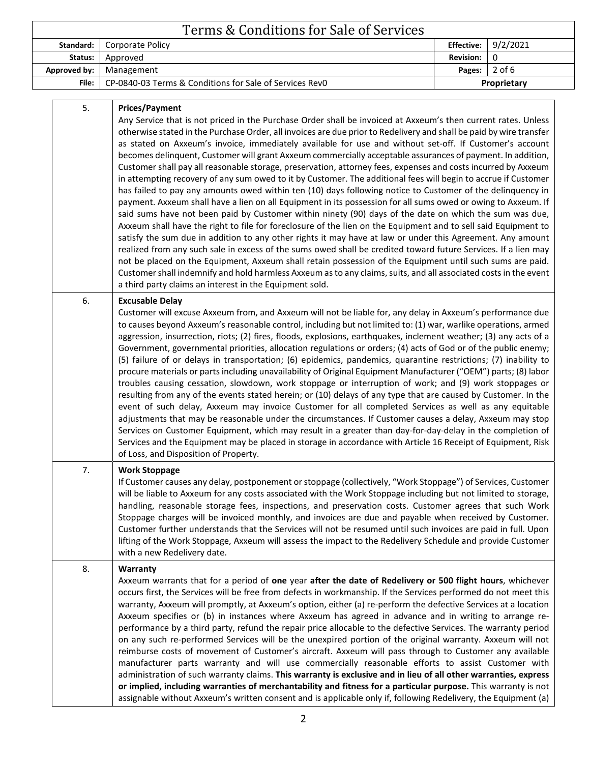| Terms & Conditions for Sale of Services |                                                                                                                                                                                                                                                                                                                                                                                                                                                                                                                                                                                                                                                                                                                                                                                                                                                                                                                                                                                                                                                                                                                                                                                                                                                                                                                                                                                                                                                                                                                                                                                                                                                                                                                  |                   |          |  |
|-----------------------------------------|------------------------------------------------------------------------------------------------------------------------------------------------------------------------------------------------------------------------------------------------------------------------------------------------------------------------------------------------------------------------------------------------------------------------------------------------------------------------------------------------------------------------------------------------------------------------------------------------------------------------------------------------------------------------------------------------------------------------------------------------------------------------------------------------------------------------------------------------------------------------------------------------------------------------------------------------------------------------------------------------------------------------------------------------------------------------------------------------------------------------------------------------------------------------------------------------------------------------------------------------------------------------------------------------------------------------------------------------------------------------------------------------------------------------------------------------------------------------------------------------------------------------------------------------------------------------------------------------------------------------------------------------------------------------------------------------------------------|-------------------|----------|--|
| Standard:                               | Corporate Policy                                                                                                                                                                                                                                                                                                                                                                                                                                                                                                                                                                                                                                                                                                                                                                                                                                                                                                                                                                                                                                                                                                                                                                                                                                                                                                                                                                                                                                                                                                                                                                                                                                                                                                 | <b>Effective:</b> | 9/2/2021 |  |
| Status:                                 | Approved                                                                                                                                                                                                                                                                                                                                                                                                                                                                                                                                                                                                                                                                                                                                                                                                                                                                                                                                                                                                                                                                                                                                                                                                                                                                                                                                                                                                                                                                                                                                                                                                                                                                                                         | <b>Revision:</b>  | 0        |  |
| <b>Approved by:</b>                     | Management                                                                                                                                                                                                                                                                                                                                                                                                                                                                                                                                                                                                                                                                                                                                                                                                                                                                                                                                                                                                                                                                                                                                                                                                                                                                                                                                                                                                                                                                                                                                                                                                                                                                                                       | Pages:            | $2$ of 6 |  |
| File:                                   | CP-0840-03 Terms & Conditions for Sale of Services Rev0                                                                                                                                                                                                                                                                                                                                                                                                                                                                                                                                                                                                                                                                                                                                                                                                                                                                                                                                                                                                                                                                                                                                                                                                                                                                                                                                                                                                                                                                                                                                                                                                                                                          | Proprietary       |          |  |
| 5.                                      | <b>Prices/Payment</b><br>Any Service that is not priced in the Purchase Order shall be invoiced at Axxeum's then current rates. Unless<br>otherwise stated in the Purchase Order, all invoices are due prior to Redelivery and shall be paid by wire transfer<br>as stated on Axxeum's invoice, immediately available for use and without set-off. If Customer's account<br>becomes delinquent, Customer will grant Axxeum commercially acceptable assurances of payment. In addition,<br>Customer shall pay all reasonable storage, preservation, attorney fees, expenses and costs incurred by Axxeum<br>in attempting recovery of any sum owed to it by Customer. The additional fees will begin to accrue if Customer<br>has failed to pay any amounts owed within ten (10) days following notice to Customer of the delinquency in<br>payment. Axxeum shall have a lien on all Equipment in its possession for all sums owed or owing to Axxeum. If<br>said sums have not been paid by Customer within ninety (90) days of the date on which the sum was due,<br>Axxeum shall have the right to file for foreclosure of the lien on the Equipment and to sell said Equipment to<br>satisfy the sum due in addition to any other rights it may have at law or under this Agreement. Any amount<br>realized from any such sale in excess of the sums owed shall be credited toward future Services. If a lien may<br>not be placed on the Equipment, Axxeum shall retain possession of the Equipment until such sums are paid.<br>Customer shall indemnify and hold harmless Axxeum as to any claims, suits, and all associated costs in the event<br>a third party claims an interest in the Equipment sold. |                   |          |  |
| 6.                                      | <b>Excusable Delay</b><br>Customer will excuse Axxeum from, and Axxeum will not be liable for, any delay in Axxeum's performance due<br>to causes beyond Axxeum's reasonable control, including but not limited to: (1) war, warlike operations, armed<br>aggression, insurrection, riots; (2) fires, floods, explosions, earthquakes, inclement weather; (3) any acts of a<br>Government, governmental priorities, allocation regulations or orders; (4) acts of God or of the public enemy;<br>(5) failure of or delays in transportation; (6) epidemics, pandemics, quarantine restrictions; (7) inability to<br>procure materials or parts including unavailability of Original Equipment Manufacturer ("OEM") parts; (8) labor<br>troubles causing cessation, slowdown, work stoppage or interruption of work; and (9) work stoppages or<br>resulting from any of the events stated herein; or (10) delays of any type that are caused by Customer. In the<br>event of such delay, Axxeum may invoice Customer for all completed Services as well as any equitable<br>adjustments that may be reasonable under the circumstances. If Customer causes a delay, Axxeum may stop<br>Services on Customer Equipment, which may result in a greater than day-for-day-delay in the completion of<br>Services and the Equipment may be placed in storage in accordance with Article 16 Receipt of Equipment, Risk<br>of Loss, and Disposition of Property.                                                                                                                                                                                                                                                         |                   |          |  |
| 7.                                      | <b>Work Stoppage</b><br>If Customer causes any delay, postponement or stoppage (collectively, "Work Stoppage") of Services, Customer<br>will be liable to Axxeum for any costs associated with the Work Stoppage including but not limited to storage,<br>handling, reasonable storage fees, inspections, and preservation costs. Customer agrees that such Work<br>Stoppage charges will be invoiced monthly, and invoices are due and payable when received by Customer.<br>Customer further understands that the Services will not be resumed until such invoices are paid in full. Upon<br>lifting of the Work Stoppage, Axxeum will assess the impact to the Redelivery Schedule and provide Customer<br>with a new Redelivery date.                                                                                                                                                                                                                                                                                                                                                                                                                                                                                                                                                                                                                                                                                                                                                                                                                                                                                                                                                                        |                   |          |  |
| 8.                                      | Warranty<br>Axxeum warrants that for a period of one year after the date of Redelivery or 500 flight hours, whichever<br>occurs first, the Services will be free from defects in workmanship. If the Services performed do not meet this<br>warranty, Axxeum will promptly, at Axxeum's option, either (a) re-perform the defective Services at a location<br>Axxeum specifies or (b) in instances where Axxeum has agreed in advance and in writing to arrange re-<br>performance by a third party, refund the repair price allocable to the defective Services. The warranty period<br>on any such re-performed Services will be the unexpired portion of the original warranty. Axxeum will not<br>reimburse costs of movement of Customer's aircraft. Axxeum will pass through to Customer any available<br>manufacturer parts warranty and will use commercially reasonable efforts to assist Customer with<br>administration of such warranty claims. This warranty is exclusive and in lieu of all other warranties, express<br>or implied, including warranties of merchantability and fitness for a particular purpose. This warranty is not<br>assignable without Axxeum's written consent and is applicable only if, following Redelivery, the Equipment (a)                                                                                                                                                                                                                                                                                                                                                                                                                                          |                   |          |  |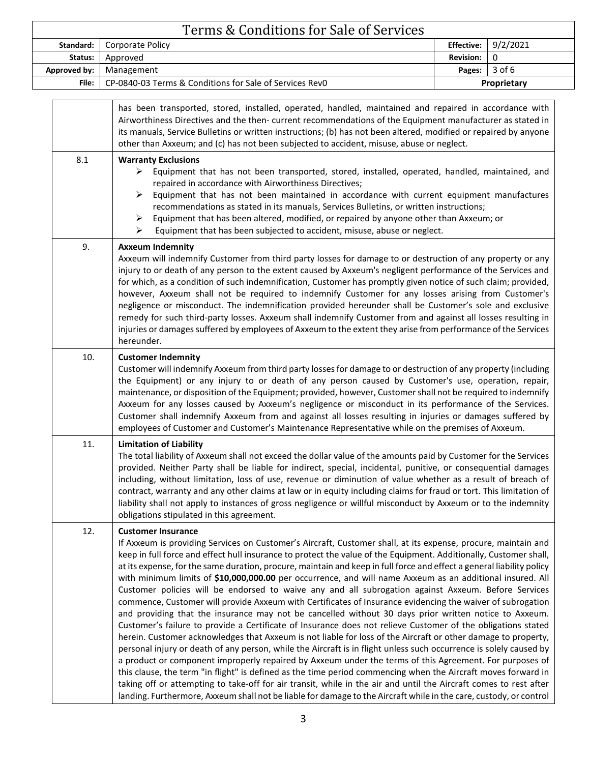| Terms & Conditions for Sale of Services |                                                                                                                                                                                                                                                                                                                                                                                                                                                                                                                                                                                                                                                                                                                                                                                                                                                                                                                                                                                                                                                                                                                                                                                                                                                                                                                                                                                                                                                                                                                                                                                                                                                                   |                       |             |  |
|-----------------------------------------|-------------------------------------------------------------------------------------------------------------------------------------------------------------------------------------------------------------------------------------------------------------------------------------------------------------------------------------------------------------------------------------------------------------------------------------------------------------------------------------------------------------------------------------------------------------------------------------------------------------------------------------------------------------------------------------------------------------------------------------------------------------------------------------------------------------------------------------------------------------------------------------------------------------------------------------------------------------------------------------------------------------------------------------------------------------------------------------------------------------------------------------------------------------------------------------------------------------------------------------------------------------------------------------------------------------------------------------------------------------------------------------------------------------------------------------------------------------------------------------------------------------------------------------------------------------------------------------------------------------------------------------------------------------------|-----------------------|-------------|--|
| Standard:                               | Corporate Policy                                                                                                                                                                                                                                                                                                                                                                                                                                                                                                                                                                                                                                                                                                                                                                                                                                                                                                                                                                                                                                                                                                                                                                                                                                                                                                                                                                                                                                                                                                                                                                                                                                                  | <b>Effective:</b>     | 9/2/2021    |  |
| Status:                                 | Approved                                                                                                                                                                                                                                                                                                                                                                                                                                                                                                                                                                                                                                                                                                                                                                                                                                                                                                                                                                                                                                                                                                                                                                                                                                                                                                                                                                                                                                                                                                                                                                                                                                                          | <b>Revision:</b><br>0 |             |  |
| Approved by:                            | Management                                                                                                                                                                                                                                                                                                                                                                                                                                                                                                                                                                                                                                                                                                                                                                                                                                                                                                                                                                                                                                                                                                                                                                                                                                                                                                                                                                                                                                                                                                                                                                                                                                                        | 3 of 6<br>Pages:      |             |  |
| File:                                   | CP-0840-03 Terms & Conditions for Sale of Services RevO                                                                                                                                                                                                                                                                                                                                                                                                                                                                                                                                                                                                                                                                                                                                                                                                                                                                                                                                                                                                                                                                                                                                                                                                                                                                                                                                                                                                                                                                                                                                                                                                           |                       | Proprietary |  |
| 8.1                                     | has been transported, stored, installed, operated, handled, maintained and repaired in accordance with<br>Airworthiness Directives and the then- current recommendations of the Equipment manufacturer as stated in<br>its manuals, Service Bulletins or written instructions; (b) has not been altered, modified or repaired by anyone<br>other than Axxeum; and (c) has not been subjected to accident, misuse, abuse or neglect.<br><b>Warranty Exclusions</b><br>Equipment that has not been transported, stored, installed, operated, handled, maintained, and<br>➤                                                                                                                                                                                                                                                                                                                                                                                                                                                                                                                                                                                                                                                                                                                                                                                                                                                                                                                                                                                                                                                                                          |                       |             |  |
|                                         | repaired in accordance with Airworthiness Directives;<br>Equipment that has not been maintained in accordance with current equipment manufactures<br>➤<br>recommendations as stated in its manuals, Services Bulletins, or written instructions;<br>Equipment that has been altered, modified, or repaired by anyone other than Axxeum; or<br>➤<br>Equipment that has been subjected to accident, misuse, abuse or neglect.<br>➤                                                                                                                                                                                                                                                                                                                                                                                                                                                                                                                                                                                                                                                                                                                                                                                                                                                                                                                                                                                                                                                                                                                                                                                                                                  |                       |             |  |
| 9.                                      | <b>Axxeum Indemnity</b><br>Axxeum will indemnify Customer from third party losses for damage to or destruction of any property or any<br>injury to or death of any person to the extent caused by Axxeum's negligent performance of the Services and<br>for which, as a condition of such indemnification, Customer has promptly given notice of such claim; provided,<br>however, Axxeum shall not be required to indemnify Customer for any losses arising from Customer's<br>negligence or misconduct. The indemnification provided hereunder shall be Customer's sole and exclusive<br>remedy for such third-party losses. Axxeum shall indemnify Customer from and against all losses resulting in<br>injuries or damages suffered by employees of Axxeum to the extent they arise from performance of the Services<br>hereunder.                                                                                                                                                                                                                                                                                                                                                                                                                                                                                                                                                                                                                                                                                                                                                                                                                            |                       |             |  |
| 10.                                     | <b>Customer Indemnity</b><br>Customer will indemnify Axxeum from third party losses for damage to or destruction of any property (including<br>the Equipment) or any injury to or death of any person caused by Customer's use, operation, repair,<br>maintenance, or disposition of the Equipment; provided, however, Customer shall not be required to indemnify<br>Axxeum for any losses caused by Axxeum's negligence or misconduct in its performance of the Services.<br>Customer shall indemnify Axxeum from and against all losses resulting in injuries or damages suffered by<br>employees of Customer and Customer's Maintenance Representative while on the premises of Axxeum.                                                                                                                                                                                                                                                                                                                                                                                                                                                                                                                                                                                                                                                                                                                                                                                                                                                                                                                                                                       |                       |             |  |
| 11.                                     | <b>Limitation of Liability</b><br>The total liability of Axxeum shall not exceed the dollar value of the amounts paid by Customer for the Services<br>provided. Neither Party shall be liable for indirect, special, incidental, punitive, or consequential damages<br>including, without limitation, loss of use, revenue or diminution of value whether as a result of breach of<br>contract, warranty and any other claims at law or in equity including claims for fraud or tort. This limitation of<br>liability shall not apply to instances of gross negligence or willful misconduct by Axxeum or to the indemnity<br>obligations stipulated in this agreement.                                                                                                                                                                                                                                                                                                                                                                                                                                                                                                                                                                                                                                                                                                                                                                                                                                                                                                                                                                                           |                       |             |  |
| 12.                                     | <b>Customer Insurance</b><br>If Axxeum is providing Services on Customer's Aircraft, Customer shall, at its expense, procure, maintain and<br>keep in full force and effect hull insurance to protect the value of the Equipment. Additionally, Customer shall,<br>at its expense, for the same duration, procure, maintain and keep in full force and effect a general liability policy<br>with minimum limits of \$10,000,000.00 per occurrence, and will name Axxeum as an additional insured. All<br>Customer policies will be endorsed to waive any and all subrogation against Axxeum. Before Services<br>commence, Customer will provide Axxeum with Certificates of Insurance evidencing the waiver of subrogation<br>and providing that the insurance may not be cancelled without 30 days prior written notice to Axxeum.<br>Customer's failure to provide a Certificate of Insurance does not relieve Customer of the obligations stated<br>herein. Customer acknowledges that Axxeum is not liable for loss of the Aircraft or other damage to property,<br>personal injury or death of any person, while the Aircraft is in flight unless such occurrence is solely caused by<br>a product or component improperly repaired by Axxeum under the terms of this Agreement. For purposes of<br>this clause, the term "in flight" is defined as the time period commencing when the Aircraft moves forward in<br>taking off or attempting to take-off for air transit, while in the air and until the Aircraft comes to rest after<br>landing. Furthermore, Axxeum shall not be liable for damage to the Aircraft while in the care, custody, or control |                       |             |  |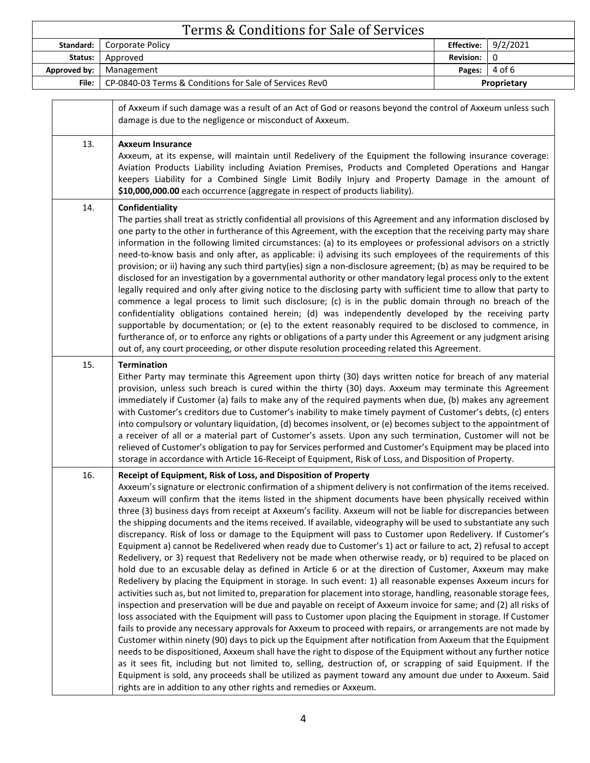|              | Terms & Conditions for Sale of Services                                                                                                                                                                                                                                                                                                                                                                                                                                                                                                                                                                                                                                                                                                                                                                                                                                                                                                                                                                                                                                                                                                                                                                                                                                                                                                                                                                                                                                                                                                                                                                                                                                                                                                                                                                                                                                                                                            |                   |             |
|--------------|------------------------------------------------------------------------------------------------------------------------------------------------------------------------------------------------------------------------------------------------------------------------------------------------------------------------------------------------------------------------------------------------------------------------------------------------------------------------------------------------------------------------------------------------------------------------------------------------------------------------------------------------------------------------------------------------------------------------------------------------------------------------------------------------------------------------------------------------------------------------------------------------------------------------------------------------------------------------------------------------------------------------------------------------------------------------------------------------------------------------------------------------------------------------------------------------------------------------------------------------------------------------------------------------------------------------------------------------------------------------------------------------------------------------------------------------------------------------------------------------------------------------------------------------------------------------------------------------------------------------------------------------------------------------------------------------------------------------------------------------------------------------------------------------------------------------------------------------------------------------------------------------------------------------------------|-------------------|-------------|
| Standard:    | Corporate Policy                                                                                                                                                                                                                                                                                                                                                                                                                                                                                                                                                                                                                                                                                                                                                                                                                                                                                                                                                                                                                                                                                                                                                                                                                                                                                                                                                                                                                                                                                                                                                                                                                                                                                                                                                                                                                                                                                                                   | <b>Effective:</b> | 9/2/2021    |
| Status:      | Approved                                                                                                                                                                                                                                                                                                                                                                                                                                                                                                                                                                                                                                                                                                                                                                                                                                                                                                                                                                                                                                                                                                                                                                                                                                                                                                                                                                                                                                                                                                                                                                                                                                                                                                                                                                                                                                                                                                                           | <b>Revision:</b>  | 0           |
| Approved by: | Management<br>CP-0840-03 Terms & Conditions for Sale of Services RevO                                                                                                                                                                                                                                                                                                                                                                                                                                                                                                                                                                                                                                                                                                                                                                                                                                                                                                                                                                                                                                                                                                                                                                                                                                                                                                                                                                                                                                                                                                                                                                                                                                                                                                                                                                                                                                                              | Pages:            | 4 of 6      |
| File:        |                                                                                                                                                                                                                                                                                                                                                                                                                                                                                                                                                                                                                                                                                                                                                                                                                                                                                                                                                                                                                                                                                                                                                                                                                                                                                                                                                                                                                                                                                                                                                                                                                                                                                                                                                                                                                                                                                                                                    |                   | Proprietary |
|              | of Axxeum if such damage was a result of an Act of God or reasons beyond the control of Axxeum unless such<br>damage is due to the negligence or misconduct of Axxeum.                                                                                                                                                                                                                                                                                                                                                                                                                                                                                                                                                                                                                                                                                                                                                                                                                                                                                                                                                                                                                                                                                                                                                                                                                                                                                                                                                                                                                                                                                                                                                                                                                                                                                                                                                             |                   |             |
| 13.          | <b>Axxeum Insurance</b><br>Axxeum, at its expense, will maintain until Redelivery of the Equipment the following insurance coverage:<br>Aviation Products Liability including Aviation Premises, Products and Completed Operations and Hangar<br>keepers Liability for a Combined Single Limit Bodily Injury and Property Damage in the amount of<br>\$10,000,000.00 each occurrence (aggregate in respect of products liability).                                                                                                                                                                                                                                                                                                                                                                                                                                                                                                                                                                                                                                                                                                                                                                                                                                                                                                                                                                                                                                                                                                                                                                                                                                                                                                                                                                                                                                                                                                 |                   |             |
| 14.          | Confidentiality<br>The parties shall treat as strictly confidential all provisions of this Agreement and any information disclosed by<br>one party to the other in furtherance of this Agreement, with the exception that the receiving party may share<br>information in the following limited circumstances: (a) to its employees or professional advisors on a strictly<br>need-to-know basis and only after, as applicable: i) advising its such employees of the requirements of this<br>provision; or ii) having any such third party(ies) sign a non-disclosure agreement; (b) as may be required to be<br>disclosed for an investigation by a governmental authority or other mandatory legal process only to the extent<br>legally required and only after giving notice to the disclosing party with sufficient time to allow that party to<br>commence a legal process to limit such disclosure; (c) is in the public domain through no breach of the<br>confidentiality obligations contained herein; (d) was independently developed by the receiving party<br>supportable by documentation; or (e) to the extent reasonably required to be disclosed to commence, in<br>furtherance of, or to enforce any rights or obligations of a party under this Agreement or any judgment arising<br>out of, any court proceeding, or other dispute resolution proceeding related this Agreement.                                                                                                                                                                                                                                                                                                                                                                                                                                                                                                                              |                   |             |
| 15.          | <b>Termination</b><br>Either Party may terminate this Agreement upon thirty (30) days written notice for breach of any material<br>provision, unless such breach is cured within the thirty (30) days. Axxeum may terminate this Agreement<br>immediately if Customer (a) fails to make any of the required payments when due, (b) makes any agreement<br>with Customer's creditors due to Customer's inability to make timely payment of Customer's debts, (c) enters<br>into compulsory or voluntary liquidation, (d) becomes insolvent, or (e) becomes subject to the appointment of<br>a receiver of all or a material part of Customer's assets. Upon any such termination, Customer will not be<br>relieved of Customer's obligation to pay for Services performed and Customer's Equipment may be placed into<br>storage in accordance with Article 16-Receipt of Equipment, Risk of Loss, and Disposition of Property.                                                                                                                                                                                                                                                                                                                                                                                                                                                                                                                                                                                                                                                                                                                                                                                                                                                                                                                                                                                                     |                   |             |
| 16.          | Receipt of Equipment, Risk of Loss, and Disposition of Property<br>Axxeum's signature or electronic confirmation of a shipment delivery is not confirmation of the items received.<br>Axxeum will confirm that the items listed in the shipment documents have been physically received within<br>three (3) business days from receipt at Axxeum's facility. Axxeum will not be liable for discrepancies between<br>the shipping documents and the items received. If available, videography will be used to substantiate any such<br>discrepancy. Risk of loss or damage to the Equipment will pass to Customer upon Redelivery. If Customer's<br>Equipment a) cannot be Redelivered when ready due to Customer's 1) act or failure to act, 2) refusal to accept<br>Redelivery, or 3) request that Redelivery not be made when otherwise ready, or b) required to be placed on<br>hold due to an excusable delay as defined in Article 6 or at the direction of Customer, Axxeum may make<br>Redelivery by placing the Equipment in storage. In such event: 1) all reasonable expenses Axxeum incurs for<br>activities such as, but not limited to, preparation for placement into storage, handling, reasonable storage fees,<br>inspection and preservation will be due and payable on receipt of Axxeum invoice for same; and (2) all risks of<br>loss associated with the Equipment will pass to Customer upon placing the Equipment in storage. If Customer<br>fails to provide any necessary approvals for Axxeum to proceed with repairs, or arrangements are not made by<br>Customer within ninety (90) days to pick up the Equipment after notification from Axxeum that the Equipment<br>needs to be dispositioned, Axxeum shall have the right to dispose of the Equipment without any further notice<br>as it sees fit, including but not limited to, selling, destruction of, or scrapping of said Fquipment. If the |                   |             |

as it sees fit, including but not limited to, selling, destruction of, or scrapping of said Equipment. If the Equipment is sold, any proceeds shall be utilized as payment toward any amount due under to Axxeum. Said rights are in addition to any other rights and remedies or Axxeum.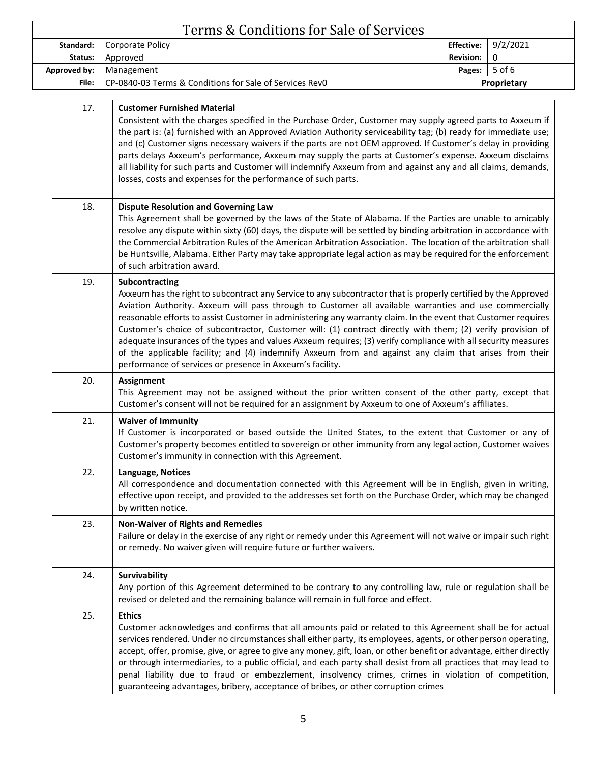| Terms & Conditions for Sale of Services |                                                                                                                                                                                                                                                                                                                                                                                                                                                                                                                                                                                                                                                                                                                                                                      |                   |          |
|-----------------------------------------|----------------------------------------------------------------------------------------------------------------------------------------------------------------------------------------------------------------------------------------------------------------------------------------------------------------------------------------------------------------------------------------------------------------------------------------------------------------------------------------------------------------------------------------------------------------------------------------------------------------------------------------------------------------------------------------------------------------------------------------------------------------------|-------------------|----------|
| Standard:                               | Corporate Policy                                                                                                                                                                                                                                                                                                                                                                                                                                                                                                                                                                                                                                                                                                                                                     | <b>Effective:</b> | 9/2/2021 |
| Status:                                 | Approved                                                                                                                                                                                                                                                                                                                                                                                                                                                                                                                                                                                                                                                                                                                                                             | <b>Revision:</b>  | 0        |
| Approved by:                            | Management                                                                                                                                                                                                                                                                                                                                                                                                                                                                                                                                                                                                                                                                                                                                                           | Pages:            | 5 of 6   |
| File:                                   | CP-0840-03 Terms & Conditions for Sale of Services Rev0                                                                                                                                                                                                                                                                                                                                                                                                                                                                                                                                                                                                                                                                                                              | Proprietary       |          |
| 17.                                     | <b>Customer Furnished Material</b><br>Consistent with the charges specified in the Purchase Order, Customer may supply agreed parts to Axxeum if<br>the part is: (a) furnished with an Approved Aviation Authority serviceability tag; (b) ready for immediate use;<br>and (c) Customer signs necessary waivers if the parts are not OEM approved. If Customer's delay in providing<br>parts delays Axxeum's performance, Axxeum may supply the parts at Customer's expense. Axxeum disclaims<br>all liability for such parts and Customer will indemnify Axxeum from and against any and all claims, demands,<br>losses, costs and expenses for the performance of such parts.                                                                                      |                   |          |
| 18.                                     | <b>Dispute Resolution and Governing Law</b><br>This Agreement shall be governed by the laws of the State of Alabama. If the Parties are unable to amicably<br>resolve any dispute within sixty (60) days, the dispute will be settled by binding arbitration in accordance with<br>the Commercial Arbitration Rules of the American Arbitration Association. The location of the arbitration shall<br>be Huntsville, Alabama. Either Party may take appropriate legal action as may be required for the enforcement<br>of such arbitration award.                                                                                                                                                                                                                    |                   |          |
| 19.                                     | Subcontracting<br>Axxeum has the right to subcontract any Service to any subcontractor that is properly certified by the Approved<br>Aviation Authority. Axxeum will pass through to Customer all available warranties and use commercially<br>reasonable efforts to assist Customer in administering any warranty claim. In the event that Customer requires<br>Customer's choice of subcontractor, Customer will: (1) contract directly with them; (2) verify provision of<br>adequate insurances of the types and values Axxeum requires; (3) verify compliance with all security measures<br>of the applicable facility; and (4) indemnify Axxeum from and against any claim that arises from their<br>performance of services or presence in Axxeum's facility. |                   |          |
| 20.                                     | <b>Assignment</b><br>This Agreement may not be assigned without the prior written consent of the other party, except that<br>Customer's consent will not be required for an assignment by Axxeum to one of Axxeum's affiliates.                                                                                                                                                                                                                                                                                                                                                                                                                                                                                                                                      |                   |          |
| 21.                                     | <b>Waiver of Immunity</b><br>If Customer is incorporated or based outside the United States, to the extent that Customer or any of<br>Customer's property becomes entitled to sovereign or other immunity from any legal action, Customer waives<br>Customer's immunity in connection with this Agreement.                                                                                                                                                                                                                                                                                                                                                                                                                                                           |                   |          |
| 22.                                     | Language, Notices<br>All correspondence and documentation connected with this Agreement will be in English, given in writing,<br>effective upon receipt, and provided to the addresses set forth on the Purchase Order, which may be changed<br>by written notice.                                                                                                                                                                                                                                                                                                                                                                                                                                                                                                   |                   |          |
| 23.                                     | <b>Non-Waiver of Rights and Remedies</b><br>Failure or delay in the exercise of any right or remedy under this Agreement will not waive or impair such right<br>or remedy. No waiver given will require future or further waivers.                                                                                                                                                                                                                                                                                                                                                                                                                                                                                                                                   |                   |          |
| 24.                                     | Survivability<br>Any portion of this Agreement determined to be contrary to any controlling law, rule or regulation shall be<br>revised or deleted and the remaining balance will remain in full force and effect.                                                                                                                                                                                                                                                                                                                                                                                                                                                                                                                                                   |                   |          |
| 25.                                     | <b>Ethics</b><br>Customer acknowledges and confirms that all amounts paid or related to this Agreement shall be for actual<br>services rendered. Under no circumstances shall either party, its employees, agents, or other person operating,<br>accept, offer, promise, give, or agree to give any money, gift, loan, or other benefit or advantage, either directly<br>or through intermediaries, to a public official, and each party shall desist from all practices that may lead to<br>penal liability due to fraud or embezzlement, insolvency crimes, crimes in violation of competition,<br>guaranteeing advantages, bribery, acceptance of bribes, or other corruption crimes                                                                              |                   |          |